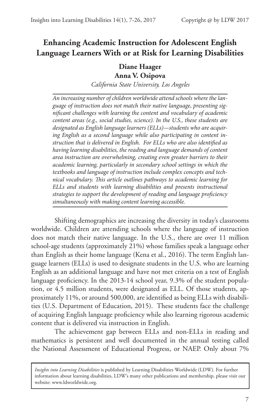# **Enhancing Academic Instruction for Adolescent English Language Learners With or at Risk for Learning Disabilities**

## **Diane Haager**

#### **Anna V. Osipova**

*California State University, Los Angeles*

*An increasing number of children worldwide attend schools where the language of instruction does not match their native language, presenting significant challenges with learning the content and vocabulary of academic content areas (e.g., social studies, science). In the U.S., these students are designated as English language learners (ELLs)—students who are acquiring English as a second language while also participating in content instruction that is delivered in English. For ELLs who are also identified as having learning disabilities, the reading and language demands of content area instruction are overwhelming, creating even greater barriers to their academic learning, particularly in secondary school settings in which the textbooks and language of instruction include complex concepts and technical vocabulary. This article outlines pathways to academic learning for ELLs and students with learning disabilities and presents instructional strategies to support the development of reading and language proficiency simultaneously with making content learning accessible.* 

Shifting demographics are increasing the diversity in today's classrooms worldwide. Children are attending schools where the language of instruction does not match their native language. In the U.S., there are over 11 million school-age students (approximately 21%) whose families speak a language other than English as their home language (Kena et al., 2016). The term English language learners (ELLs) is used to designate students in the U.S. who are learning English as an additional language and have not met criteria on a test of English language proficiency. In the 2013-14 school year, 9.3% of the student population, or 4.5 million students, were designated as ELL. Of those students, approximately 11%, or around 500,000, are identified as being ELLs with disabilities (U.S. Department of Education, 2015). These students face the challenge of acquiring English language proficiency while also learning rigorous academic content that is delivered via instruction in English.

The achievement gap between ELLs and non-ELLs in reading and mathematics is persistent and well documented in the annual testing called the National Assessment of Educational Progress, or NAEP. Only about 7%

*Insights into Learning Disabilities* is published by Learning Disabilities Worldwide (LDW). For further information about learning disabilities, LDW's many other publications and membership, please visit our website: www.ldworldwide.org.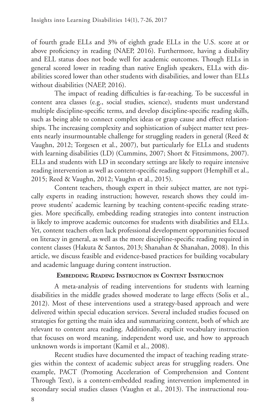of fourth grade ELLs and 3% of eighth grade ELLs in the U.S. score at or above proficiency in reading (NAEP, 2016). Furthermore, having a disability and ELL status does not bode well for academic outcomes. Though ELLs in general scored lower in reading than native English speakers, ELLs with disabilities scored lower than other students with disabilities, and lower than ELLs without disabilities (NAEP, 2016).

The impact of reading difficulties is far-reaching. To be successful in content area classes (e.g., social studies, science), students must understand multiple discipline-specific terms, and develop discipline-specific reading skills, such as being able to connect complex ideas or grasp cause and effect relationships. The increasing complexity and sophistication of subject matter text presents nearly insurmountable challenge for struggling readers in general (Reed & Vaughn, 2012; Torgesen et al., 2007), but particularly for ELLs and students with learning disabilities (LD) (Cummins, 2007; Short & Fitzsimmons, 2007). ELLs and students with LD in secondary settings are likely to require intensive reading intervention as well as content-specific reading support (Hemphill et al., 2015; Reed & Vaughn, 2012; Vaughn et al., 2015).

Content teachers, though expert in their subject matter, are not typically experts in reading instruction; however, research shows they could improve students' academic learning by teaching content-specific reading strategies. More specifically, embedding reading strategies into content instruction is likely to improve academic outcomes for students with disabilities and ELLs. Yet, content teachers often lack professional development opportunities focused on literacy in general, as well as the more discipline-specific reading required in content classes (Hakuta & Santos, 2013; Shanahan & Shanahan, 2008). In this article, we discuss feasible and evidence-based practices for building vocabulary and academic language during content instruction.

### **Embedding Reading Instruction in Content Instruction**

A meta-analysis of reading interventions for students with learning disabilities in the middle grades showed moderate to large effects (Solis et al., 2012). Most of these interventions used a strategy-based approach and were delivered within special education services. Several included studies focused on strategies for getting the main idea and summarizing content, both of which are relevant to content area reading. Additionally, explicit vocabulary instruction that focuses on word meaning, independent word use, and how to approach unknown words is important (Kamil et al., 2008).

Recent studies have documented the impact of teaching reading strategies within the context of academic subject areas for struggling readers. One example, PACT (Promoting Acceleration of Comprehension and Content Through Text), is a content-embedded reading intervention implemented in secondary social studies classes (Vaughn et al., 2013). The instructional rou-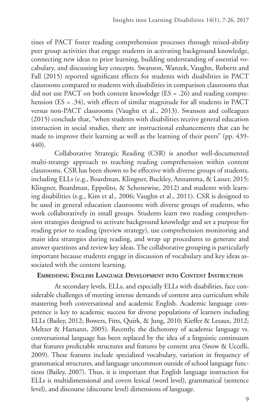tines of PACT foster reading comprehension processes through mixed-ability peer group activities that engage students in activating background knowledge, connecting new ideas to prior learning, building understanding of essential vocabulary, and discussing key concepts. Swanson, Wanzek, Vaughn, Roberts and Fall (2015) reported significant effects for students with disabilities in PACT classrooms compared to students with disabilities in comparison classrooms that did not use PACT on both content knowledge (ES = .26) and reading comprehension (ES = .34), with effects of similar magnitude for all students in PACT versus non-PACT classrooms (Vaughn et al., 2013). Swanson and colleagues (2015) conclude that, "when students with disabilities receive general education instruction in social studies, there are instructional enhancements that can be made to improve their learning as well as the learning of their peers" (pp. 439- 440).

Collaborative Strategic Reading (CSR) is another well-documented multi-strategy approach to teaching reading comprehension within content classrooms. CSR has been shown to be effective with diverse groups of students, including ELLs (e.g., Boardman, Klingner, Buckley, Annamma, & Lasser, 2015; Klingner, Boardman, Eppolito, & Schonewise, 2012) and students with learning disabilities (e.g., Kim et al., 2006; Vaughn et al., 2011). CSR is designed to be used in general education classrooms with diverse groups of students, who work collaboratively in small groups. Students learn two reading comprehension strategies designed to activate background knowledge and set a purpose for reading prior to reading (preview strategy), use comprehension monitoring and main idea strategies during reading, and wrap up procedures to generate and answer questions and review key ideas. The collaborative grouping is particularly important because students engage in discussion of vocabulary and key ideas associated with the content learning.

### **Embedding English Language Development into Content Instruction**

At secondary levels, ELLs, and especially ELLs with disabilities, face considerable challenges of meeting intense demands of content area curriculum while mastering both conversational and academic English. Academic language competence is key to academic success for diverse populations of learners including ELLs (Bailey, 2012; Bowers, Fitts, Quirk, & Jung, 2010; Kieffer & Lesaux, 2012; Meltzer & Hamann, 2005). Recently, the dichotomy of academic language vs. conversational language has been replaced by the idea of a linguistic continuum that features predictable structures and features by content area (Snow & Uccelli, 2009). These features include specialized vocabulary, variation in frequency of grammatical structures, and language uncommon outside of school language functions (Bailey, 2007). Thus, it is important that English language instruction for ELLs is multidimensional and covers lexical (word level), grammatical (sentence level), and discourse (discourse level) dimensions of language.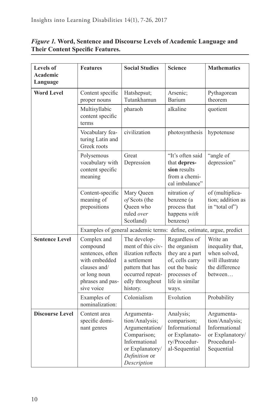| <b>Levels of</b><br>Academic<br>Language | <b>Features</b>                                                                                                                | <b>Social Studies</b>                                                                                                                          | <b>Science</b>                                                                                                                   | <b>Mathematics</b>                                                                            |
|------------------------------------------|--------------------------------------------------------------------------------------------------------------------------------|------------------------------------------------------------------------------------------------------------------------------------------------|----------------------------------------------------------------------------------------------------------------------------------|-----------------------------------------------------------------------------------------------|
| <b>Word Level</b>                        | Content specific<br>proper nouns<br>Multisyllabic                                                                              | Hatshepsut;<br>Tutankhamun<br>pharaoh                                                                                                          | Arsenic;<br>Barium<br>alkaline                                                                                                   | Pythagorean<br>theorem<br>quotient                                                            |
|                                          | content specific<br>terms                                                                                                      |                                                                                                                                                |                                                                                                                                  |                                                                                               |
|                                          | Vocabulary fea-<br>turing Latin and<br>Greek roots                                                                             | civilization                                                                                                                                   | photosynthesis                                                                                                                   | hypotenuse                                                                                    |
|                                          | Polysemous<br>vocabulary with<br>content specific<br>meaning                                                                   | Great<br>Depression                                                                                                                            | "It's often said<br>that depres-<br>sion results<br>from a chemi-<br>cal imbalance"                                              | "angle of<br>depression"                                                                      |
|                                          | Content-specific<br>meaning of<br>prepositions                                                                                 | Mary Queen<br>of Scots (the<br>Queen who<br>ruled over<br>Scotland)                                                                            | nitration of<br>benzene (a<br>process that<br>happens with<br>benzene)                                                           | of (multiplica-<br>tion; addition as<br>in "total of")                                        |
|                                          | Examples of general academic terms: define, estimate, argue, predict                                                           |                                                                                                                                                |                                                                                                                                  |                                                                                               |
| <b>Sentence Level</b>                    | Complex and<br>compound<br>sentences, often<br>with embedded<br>clauses and/<br>or long noun<br>phrases and pas-<br>sive voice | The develop-<br>ment of this civ-<br>ilization reflects<br>a settlement<br>pattern that has<br>occurred repeat-<br>edly throughout<br>history. | Regardless of<br>the organism<br>they are a part<br>of, cells carry<br>out the basic<br>processes of<br>life in similar<br>ways. | Write an<br>inequality that,<br>when solved,<br>will illustrate<br>the difference<br>between  |
|                                          | Examples of<br>nominalization:                                                                                                 | Colonialism                                                                                                                                    | Evolution                                                                                                                        | Probability                                                                                   |
| <b>Discourse Level</b>                   | Content area<br>specific domi-<br>nant genres                                                                                  | Argumenta-<br>tion/Analysis;<br>Argumentation/<br>Comparison;<br>Informational<br>or Explanatory/<br>Definition or<br>Description              | Analysis;<br>comparison;<br>Informational<br>or Explanato-<br>ry/Procedur-<br>al-Sequential                                      | Argumenta-<br>tion/Analysis;<br>Informational<br>or Explanatory/<br>Procedural-<br>Sequential |

### *Figure 1.* **Word, Sentence and Discourse Levels of Academic Language and Their Content Specific Features.**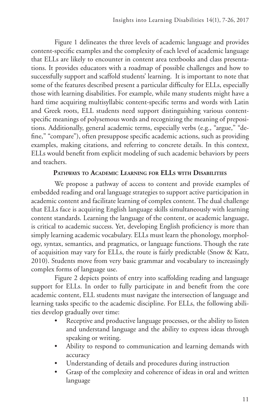Figure 1 delineates the three levels of academic language and provides content-specific examples and the complexity of each level of academic language that ELLs are likely to encounter in content area textbooks and class presentations. It provides educators with a roadmap of possible challenges and how to successfully support and scaffold students' learning. It is important to note that some of the features described present a particular difficulty for ELLs, especially those with learning disabilities. For example, while many students might have a hard time acquiring multisyllabic content-specific terms and words with Latin and Greek roots, ELL students need support distinguishing various contentspecific meanings of polysemous words and recognizing the meaning of prepositions. Additionally, general academic terms, especially verbs (e.g., "argue," "define," "compare"), often presuppose specific academic actions, such as providing examples, making citations, and referring to concrete details. In this context, ELLs would benefit from explicit modeling of such academic behaviors by peers and teachers.

### **Pathways to Academic Learning for ELLs with Disabilities**

We propose a pathway of access to content and provide examples of embedded reading and oral language strategies to support active participation in academic content and facilitate learning of complex content. The dual challenge that ELLs face is acquiring English language skills simultaneously with learning content standards. Learning the language of the content, or academic language, is critical to academic success. Yet, developing English proficiency is more than simply learning academic vocabulary. ELLs must learn the phonology, morphology, syntax, semantics, and pragmatics, or language functions. Though the rate of acquisition may vary for ELLs, the route is fairly predictable (Snow & Katz, 2010). Students move from very basic grammar and vocabulary to increasingly complex forms of language use.

Figure 2 depicts points of entry into scaffolding reading and language support for ELLs. In order to fully participate in and benefit from the core academic content, ELL students must navigate the intersection of language and learning tasks specific to the academic discipline. For ELLs, the following abilities develop gradually over time:

- Receptive and productive language processes, or the ability to listen and understand language and the ability to express ideas through speaking or writing.
- Ability to respond to communication and learning demands with accuracy
- Understanding of details and procedures during instruction
- Grasp of the complexity and coherence of ideas in oral and written language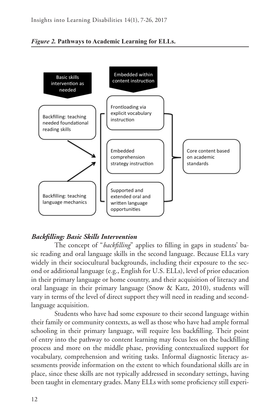



## *Backfilling: Basic Skills Intervention*

The concept of "*backfilling*" applies to filling in gaps in students' basic reading and oral language skills in the second language. Because ELLs vary widely in their sociocultural backgrounds, including their exposure to the second or additional language (e.g., English for U.S. ELLs), level of prior education in their primary language or home country, and their acquisition of literacy and oral language in their primary language (Snow & Katz, 2010), students will vary in terms of the level of direct support they will need in reading and secondlanguage acquisition.

Students who have had some exposure to their second language within their family or community contexts, as well as those who have had ample formal schooling in their primary language, will require less backfilling. Their point of entry into the pathway to content learning may focus less on the backfilling process and more on the middle phase, providing contextualized support for vocabulary, comprehension and writing tasks. Informal diagnostic literacy assessments provide information on the extent to which foundational skills are in place, since these skills are not typically addressed in secondary settings, having been taught in elementary grades. Many ELLs with some proficiency still experi-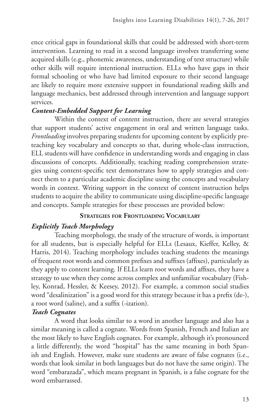ence critical gaps in foundational skills that could be addressed with short-term intervention. Learning to read in a second language involves transferring some acquired skills (e.g., phonemic awareness, understanding of text structure) while other skills will require intentional instruction. ELLs who have gaps in their formal schooling or who have had limited exposure to their second language are likely to require more extensive support in foundational reading skills and language mechanics, best addressed through intervention and language support services.

## *Content-Embedded Support for Learning*

Within the context of content instruction, there are several strategies that support students' active engagement in oral and written language tasks. *Frontloading* involves preparing students for upcoming content by explicitly preteaching key vocabulary and concepts so that, during whole-class instruction, ELL students will have confidence in understanding words and engaging in class discussions of concepts. Additionally, teaching reading comprehension strategies using content-specific text demonstrates how to apply strategies and connect them to a particular academic discipline using the concepts and vocabulary words in context. Writing support in the context of content instruction helps students to acquire the ability to communicate using discipline-specific language and concepts. Sample strategies for these processes are provided below:

## **Strategies for Frontloading Vocabulary**

## *Explicitly Teach Morphology*

Teaching morphology, the study of the structure of words, is important for all students, but is especially helpful for ELLs (Lesaux, Kieffer, Kelley, & Harris, 2014). Teaching morphology includes teaching students the meanings of frequent root words and common prefixes and suffixes (affixes), particularly as they apply to content learning. If ELLs learn root words and affixes, they have a strategy to use when they come across complex and unfamiliar vocabulary (Fishley, Konrad, Hessler, & Keesey, 2012). For example, a common social studies word "desalinization" is a good word for this strategy because it has a prefix (de-), a root word (saline), and a suffix (-ization).

## *Teach Cognates*

A word that looks similar to a word in another language and also has a similar meaning is called a cognate. Words from Spanish, French and Italian are the most likely to have English cognates. For example, although it's pronounced a little differently, the word "hospital" has the same meaning in both Spanish and English. However, make sure students are aware of false cognates (i.e., words that look similar in both languages but do not have the same origin). The word "embarazada", which means pregnant in Spanish, is a false cognate for the word embarrassed.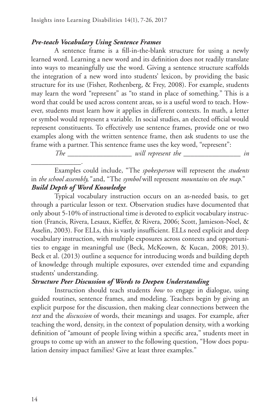#### *Pre-teach Vocabulary Using Sentence Frames*

A sentence frame is a fill-in-the-blank structure for using a newly learned word. Learning a new word and its definition does not readily translate into ways to meaningfully use the word. Giving a sentence structure scaffolds the integration of a new word into students' lexicon, by providing the basic structure for its use (Fisher, Rothenberg, & Frey, 2008). For example, students may learn the word "represent" as "to stand in place of something." This is a word that could be used across content areas, so is a useful word to teach. However, students must learn how it applies in different contexts. In math, a letter or symbol would represent a variable. In social studies, an elected official would represent constituents. To effectively use sentence frames, provide one or two examples along with the written sentence frame, then ask students to use the frame with a partner. This sentence frame uses the key word, "represent":

*The \_\_\_\_\_\_\_\_\_\_\_\_\_\_\_\_\_\_ will represent the \_\_\_\_\_\_\_\_\_\_\_\_\_\_\_\_ in \_\_\_\_\_\_\_\_\_\_\_\_\_\_.* 

Examples could include, "The *spokesperson* will represent the *students* in *the school assembly,"* and, "The *symbol* will represent *mountains* on *the map*." *Build Depth of Word Knowledge*

Typical vocabulary instruction occurs on an as-needed basis, to get through a particular lesson or text. Observation studies have documented that only about 5-10% of instructional time is devoted to explicit vocabulary instruction (Francis, Rivera, Lesaux, Kieffer, & Rivera, 2006; Scott, Jamieson-Noel, & Asselin, 2003). For ELLs, this is vastly insufficient. ELLs need explicit and deep vocabulary instruction, with multiple exposures across contexts and opportunities to engage in meaningful use (Beck, McKeown, & Kucan, 2008; 2013). Beck et al. (2013) outline a sequence for introducing words and building depth of knowledge through multiple exposures, over extended time and expanding students' understanding.

#### *Structure Peer Discussion of Words to Deepen Understanding*

Instruction should teach students *how* to engage in dialogue, using guided routines, sentence frames, and modeling. Teachers begin by giving an explicit purpose for the discussion, then making clear connections between the *text* and the *discussion* of words, their meanings and usages. For example, after teaching the word, density, in the context of population density, with a working definition of "amount of people living within a specific area," students meet in groups to come up with an answer to the following question, "How does population density impact families? Give at least three examples."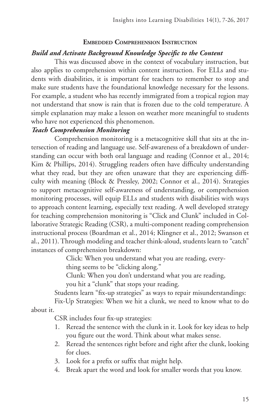### **Embedded Comprehension Instruction**

### *Build and Activate Background Knowledge Specific to the Content*

This was discussed above in the context of vocabulary instruction, but also applies to comprehension within content instruction. For ELLs and students with disabilities, it is important for teachers to remember to stop and make sure students have the foundational knowledge necessary for the lessons. For example, a student who has recently immigrated from a tropical region may not understand that snow is rain that is frozen due to the cold temperature. A simple explanation may make a lesson on weather more meaningful to students who have not experienced this phenomenon.

### *Teach Comprehension Monitoring*

Comprehension monitoring is a metacognitive skill that sits at the intersection of reading and language use. Self-awareness of a breakdown of understanding can occur with both oral language and reading (Connor et al., 2014; Kim & Phillips, 2014). Struggling readers often have difficulty understanding what they read, but they are often unaware that they are experiencing difficulty with meaning (Block & Pressley, 2002; Connor et al., 2014). Strategies to support metacognitive self-awareness of understanding, or comprehension monitoring processes, will equip ELLs and students with disabilities with ways to approach content learning, especially text reading. A well developed strategy for teaching comprehension monitoring is "Click and Clunk" included in Collaborative Strategic Reading (CSR), a multi-component reading comprehension instructional process (Boardman et al., 2014; Klingner et al., 2012; Swanson et al., 2011). Through modeling and teacher think-aloud, students learn to "catch" instances of comprehension breakdown:

Click: When you understand what you are reading, every-

thing seems to be "clicking along."

Clunk: When you don't understand what you are reading, you hit a "clunk" that stops your reading.

Students learn "fix-up strategies" as ways to repair misunderstandings:

Fix-Up Strategies: When we hit a clunk, we need to know what to do about it.

CSR includes four fix-up strategies:

- 1. Reread the sentence with the clunk in it. Look for key ideas to help you figure out the word. Think about what makes sense.
- 2. Reread the sentences right before and right after the clunk, looking for clues.
- 3. Look for a prefix or suffix that might help.
- 4. Break apart the word and look for smaller words that you know.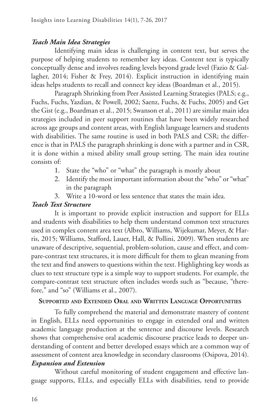### *Teach Main Idea Strategies*

Identifying main ideas is challenging in content text, but serves the purpose of helping students to remember key ideas. Content text is typically conceptually dense and involves reading levels beyond grade level (Fazio & Gallagher, 2014; Fisher & Frey, 2014). Explicit instruction in identifying main ideas helps students to recall and connect key ideas (Boardman et al., 2015).

Paragraph Shrinking from Peer Assisted Learning Strategies (PALS; e.g., Fuchs, Fuchs, Yazdian, & Powell, 2002; Saenz, Fuchs, & Fuchs, 2005) and Get the Gist (e.g., Boardman et al., 2015; Swanson et al., 2011) are similar main idea strategies included in peer support routines that have been widely researched across age groups and content areas, with English language learners and students with disabilities. The same routine is used in both PALS and CSR; the difference is that in PALS the paragraph shrinking is done with a partner and in CSR, it is done within a mixed ability small group setting. The main idea routine consists of:

- 1. State the "who" or "what" the paragraph is mostly about
- 2. Identify the most important information about the "who" or "what" in the paragraph
- 3. Write a 10-word or less sentence that states the main idea.

### *Teach Text Structure*

It is important to provide explicit instruction and support for ELLs and students with disabilities to help them understand common text structures used in complex content area text (Albro, Williams, Wijekumar, Meyer, & Harris, 2015; Williams, Stafford, Lauer, Hall, & Pollini, 2009). When students are unaware of descriptive, sequential, problem-solution, cause and effect, and compare-contrast text structures, it is more difficult for them to glean meaning from the text and find answers to questions within the text. Highlighting key words as clues to text structure type is a simple way to support students. For example, the compare-contrast text structure often includes words such as "because, "therefore," and "so" (Williams et al., 2007).

#### **Supported and Extended Oral and Written Language Opportunities**

To fully comprehend the material and demonstrate mastery of content in English, ELLs need opportunities to engage in extended oral and written academic language production at the sentence and discourse levels. Research shows that comprehensive oral academic discourse practice leads to deeper understanding of content and better developed essays which are a common way of assessment of content area knowledge in secondary classrooms (Osipova, 2014).

### *Expansion and Extension*

Without careful monitoring of student engagement and effective language supports, ELLs, and especially ELLs with disabilities, tend to provide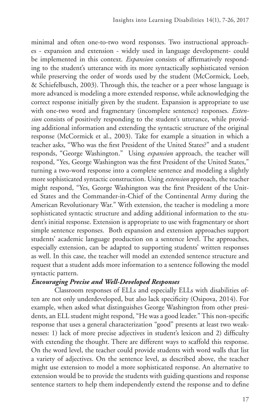minimal and often one-to-two word responses. Two instructional approaches - expansion and extension - widely used in language development- could be implemented in this context. *Expansion* consists of affirmatively responding to the student's utterance with its more syntactically sophisticated version while preserving the order of words used by the student (McCormick, Loeb, & Schiefelbusch, 2003). Through this, the teacher or a peer whose language is more advanced is modeling a more extended response, while acknowledging the correct response initially given by the student. Expansion is appropriate to use with one-two word and fragmentary (incomplete sentence) responses. *Extension* consists of positively responding to the student's utterance, while providing additional information and extending the syntactic structure of the original response (McCormick et al., 2003). Take for example a situation in which a teacher asks, "Who was the first President of the United States?" and a student responds, "George Washington." Using *expansion* approach, the teacher will respond, "Yes, George Washington was the first President of the United States," turning a two-word response into a complete sentence and modeling a slightly more sophisticated syntactic construction. Using *extension* approach, the teacher might respond, "Yes, George Washington was the first President of the United States and the Commander-in-Chief of the Continental Army during the American Revolutionary War." With extension, the teacher is modeling a more sophisticated syntactic structure and adding additional information to the student's initial response. Extension is appropriate to use with fragmentary or short simple sentence responses. Both expansion and extension approaches support students' academic language production on a sentence level. The approaches, especially extension, can be adapted to supporting students' written responses as well. In this case, the teacher will model an extended sentence structure and request that a student adds more information to a sentence following the model syntactic pattern.

### *Encouraging Precise and Well-Developed Responses*

Classroom responses of ELLs and especially ELLs with disabilities often are not only underdeveloped, but also lack specificity (Osipova, 2014). For example, when asked what distinguishes George Washington from other presidents, an ELL student might respond, "He was a good leader." This non-specific response that uses a general characterization "good" presents at least two weaknesses: 1) lack of more precise adjectives in student's lexicon and 2) difficulty with extending the thought. There are different ways to scaffold this response. On the word level, the teacher could provide students with word walls that list a variety of adjectives. On the sentence level, as described above, the teacher might use extension to model a more sophisticated response. An alternative to extension would be to provide the students with guiding questions and response sentence starters to help them independently extend the response and to define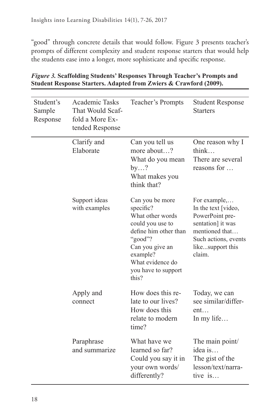"good" through concrete details that would follow. Figure 3 presents teacher's prompts of different complexity and student response starters that would help the students ease into a longer, more sophisticate and specific response.

| Student's<br>Sample<br>Response | Academic Tasks<br>That Would Scaf-<br>fold a More Ex-<br>tended Response | Teacher's Prompts                                                                                                                                                                           | <b>Student Response</b><br><b>Starters</b>                                                                                                          |
|---------------------------------|--------------------------------------------------------------------------|---------------------------------------------------------------------------------------------------------------------------------------------------------------------------------------------|-----------------------------------------------------------------------------------------------------------------------------------------------------|
|                                 | Clarify and<br>Elaborate                                                 | Can you tell us<br>more about?<br>What do you mean<br>by?<br>What makes you<br>think that?                                                                                                  | One reason why I<br>think<br>There are several<br>reasons for                                                                                       |
|                                 | Support ideas<br>with examples                                           | Can you be more<br>specific?<br>What other words<br>could you use to<br>define him other than<br>"good"?<br>Can you give an<br>example?<br>What evidence do<br>you have to support<br>this? | For example,<br>In the text [video,<br>PowerPoint pre-<br>sentation] it was<br>mentioned that<br>Such actions, events<br>likesupport this<br>claim. |
|                                 | Apply and<br>connect                                                     | How does this re-<br>late to our lives?<br>How does this<br>relate to modern<br>time?                                                                                                       | Today, we can<br>see similar/differ-<br>ent<br>In my life                                                                                           |
|                                 | Paraphrase<br>and summarize                                              | What have we<br>learned so far?<br>Could you say it in<br>your own words/<br>differently?                                                                                                   | The main point/<br>idea is<br>The gist of the<br>lesson/text/narra-<br>tive $is$                                                                    |

### *Figure 3.* **Scaffolding Students' Responses Through Teacher's Prompts and Student Response Starters. Adapted from Zwiers & Crawford (2009).**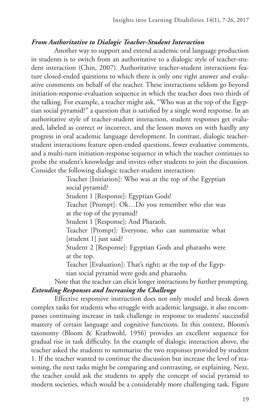### *From Authoritative to Dialogic Teacher-Student Interaction*

Another way to support and extend academic oral language production in students is to switch from an authoritative to a dialogic style of teacher-student interaction (Chin, 2007). Authoritative teacher-student interactions feature closed-ended questions to which there is only one right answer and evaluative comments on behalf of the teacher. These interactions seldom go beyond initiation-response-evaluation sequence in which the teacher does two thirds of the talking. For example, a teacher might ask, "Who was at the top of the Egyptian social pyramid?" a question that is satisfied by a single word response. In an authoritative style of teacher-student interaction, student responses get evaluated, labeled as correct or incorrect, and the lesson moves on with hardly any progress in oral academic language development. In contrast, dialogic teacherstudent interactions feature open-ended questions, fewer evaluative comments, and a multi-turn initiation-response sequence in which the teacher continues to probe the student's knowledge and invites other students to join the discussion. Consider the following dialogic teacher-student interaction:

> Teacher [Initiation]: Who was at the top of the Egyptian social pyramid?

Student 1 [Response]: Egyptian Gods!

Teacher [Prompt]: Ok…Do you remember who else was at the top of the pyramid?

Student 1 [Response]: And Pharaoh.

Teacher [Prompt]: Everyone, who can summarize what [student 1] just said?

Student 2 [Response]: Egyptian Gods and pharaohs were at the top.

Teacher [Evaluation]: That's right; at the top of the Egyptian social pyramid were gods and pharaohs.

Note that the teacher can elicit longer interactions by further prompting. *Extending Responses and Increasing the Challenge* 

Effective responsive instruction does not only model and break down complex tasks for students who struggle with academic language, it also encompasses continuing increase in task challenge in response to students' successful mastery of certain language and cognitive functions. In this context, Bloom's taxonomy (Bloom & Krathwohl, 1956) provides an excellent sequence for gradual rise in task difficulty. In the example of dialogic interaction above, the teacher asked the students to summarize the two responses provided by student 1. If the teacher wanted to continue the discussion but increase the level of reasoning, the next tasks might be comparing and contrasting, or explaining. Next, the teacher could ask the students to apply the concept of social pyramid to modern societies, which would be a considerably more challenging task. Figure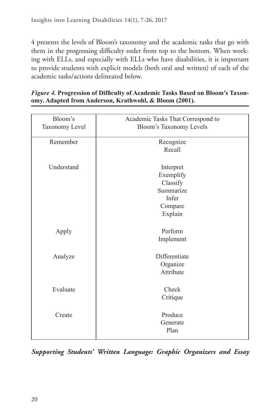4 presents the levels of Bloom's taxonomy and the academic tasks that go with them in the progressing difficulty order from top to the bottom. When working with ELLs, and especially with ELLs who have disabilities, it is important to provide students with explicit models (both oral and written) of each of the academic tasks/actions delineated below.

| Figure 4. Progression of Difficulty of Academic Tasks Based on Bloom's Taxon- |
|-------------------------------------------------------------------------------|
| omy. Adapted from Anderson, Krathwohl, & Bloom (2001).                        |

| Bloom's<br>Taxonomy Level | Academic Tasks That Correspond to<br>Bloom's Taxonomy Levels                   |
|---------------------------|--------------------------------------------------------------------------------|
| Remember                  | Recognize<br>Recall                                                            |
| Understand                | Interpret<br>Exemplify<br>Classify<br>Summarize<br>Infer<br>Compare<br>Explain |
| Apply                     | Perform<br>Implement                                                           |
| Analyze                   | Differentiate<br>Organize<br>Attribute                                         |
| Evaluate                  | Check<br>Critique                                                              |
| Create                    | Produce<br>Generate<br>Plan                                                    |

*Supporting Students' Written Language: Graphic Organizers and Essay*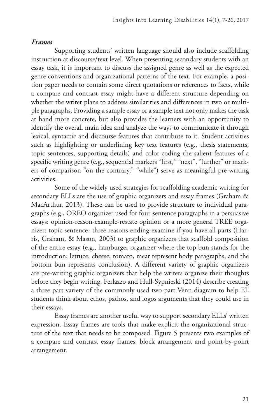### *Frames*

Supporting students' written language should also include scaffolding instruction at discourse/text level. When presenting secondary students with an essay task, it is important to discuss the assigned genre as well as the expected genre conventions and organizational patterns of the text. For example, a position paper needs to contain some direct quotations or references to facts, while a compare and contrast essay might have a different structure depending on whether the writer plans to address similarities and differences in two or multiple paragraphs. Providing a sample essay or a sample text not only makes the task at hand more concrete, but also provides the learners with an opportunity to identify the overall main idea and analyze the ways to communicate it through lexical, syntactic and discourse features that contribute to it. Student activities such as highlighting or underlining key text features (e.g., thesis statements, topic sentences, supporting details) and color-coding the salient features of a specific writing genre (e.g., sequential markers "first," "next", "further" or markers of comparison "on the contrary," "while") serve as meaningful pre-writing activities.

Some of the widely used strategies for scaffolding academic writing for secondary ELLs are the use of graphic organizers and essay frames (Graham & MacArthur, 2013). These can be used to provide structure to individual paragraphs (e.g., OREO organizer used for four-sentence paragraphs in a persuasive essays: opinion-reason-example-restate opinion or a more general TREE organizer: topic sentence- three reasons-ending-examine if you have all parts (Harris, Graham, & Mason, 2003) to graphic organizers that scaffold composition of the entire essay (e.g., hamburger organizer where the top bun stands for the introduction; lettuce, cheese, tomato, meat represent body paragraphs, and the bottom bun represents conclusion). A different variety of graphic organizers are pre-writing graphic organizers that help the writers organize their thoughts before they begin writing. Ferlazzo and Hull-Sypnieski (2014) describe creating a three part variety of the commonly used two-part Venn diagram to help EL students think about ethos, pathos, and logos arguments that they could use in their essays.

Essay frames are another useful way to support secondary ELLs' written expression. Essay frames are tools that make explicit the organizational structure of the text that needs to be composed. Figure 5 presents two examples of a compare and contrast essay frames: block arrangement and point-by-point arrangement.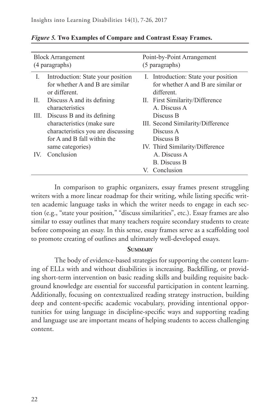| <b>Block Arrangement</b><br>(4 paragraphs) |                                                                                                                                                   | Point-by-Point Arrangement<br>(5 paragraphs) |                                                                                                             |
|--------------------------------------------|---------------------------------------------------------------------------------------------------------------------------------------------------|----------------------------------------------|-------------------------------------------------------------------------------------------------------------|
| I.                                         | Introduction: State your position<br>for whether A and B are similar<br>or different.                                                             |                                              | I. Introduction: State your position<br>for whether A and B are similar or<br>different.                    |
| Н.                                         | Discuss A and its defining<br>characteristics                                                                                                     |                                              | II. First Similarity/Difference<br>A. Discuss A                                                             |
| III.                                       | Discuss B and its defining<br>characteristics (make sure<br>characteristics you are discussing<br>for A and B fall within the<br>same categories) |                                              | Discuss B<br>III. Second Similarity/Difference<br>Discuss A<br>Discuss B<br>IV. Third Similarity/Difference |
| IV.                                        | Conclusion                                                                                                                                        |                                              | A. Discuss A<br><b>B.</b> Discuss B.<br>V. Conclusion                                                       |

*Figure 5.* **Two Examples of Compare and Contrast Essay Frames.**

In comparison to graphic organizers, essay frames present struggling writers with a more linear roadmap for their writing, while listing specific written academic language tasks in which the writer needs to engage in each section (e.g., "state your position," "discuss similarities", etc.). Essay frames are also similar to essay outlines that many teachers require secondary students to create before composing an essay. In this sense, essay frames serve as a scaffolding tool to promote creating of outlines and ultimately well-developed essays.

#### **Summary**

The body of evidence-based strategies for supporting the content learning of ELLs with and without disabilities is increasing. Backfilling, or providing short-term intervention on basic reading skills and building requisite background knowledge are essential for successful participation in content learning. Additionally, focusing on contextualized reading strategy instruction, building deep and content-specific academic vocabulary, providing intentional opportunities for using language in discipline-specific ways and supporting reading and language use are important means of helping students to access challenging content.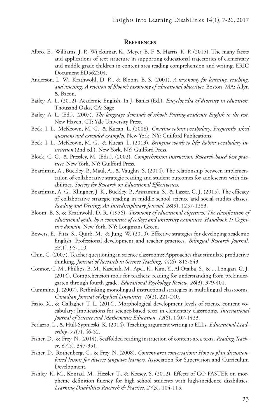#### **References**

- Albro, E., Williams, J. P., Wijekumar, K., Meyer, B. F. & Harris, K. R (2015). The many facets and applications of text structure in supporting educational trajectories of elementary and middle grade children in content area reading comprehension and writing. ERIC Document ED562504.
- Anderson, L. W., Krathwohl, D. R., & Bloom, B. S. (2001). *A taxonomy for learning, teaching, and assessing: A revision of Bloom's taxonomy of educational objectives*. Boston, MA: Allyn & Bacon.
- Bailey, A. L. (2012). Academic English. In J. Banks (Ed.). *Encyclopedia of diversity in education*. Thousand Oaks, CA: Sage
- Bailey, A. L. (Ed.). (2007). *The language demands of school: Putting academic English to the test*. New Haven, CT: Yale University Press.
- Beck, I. L., McKeown, M. G., & Kucan, L. (2008). *Creating robust vocabulary: Frequently asked questions and extended examples*. New York, NY: Guilford Publications.
- Beck, I. L., McKeown, M. G., & Kucan, L. (2013). *Bringing words to life: Robust vocabulary instruction* (2nd ed.)*.* New York, NY: Guilford Press.
- Block, C. C., & Pressley, M. (Eds.). (2002). *Comprehension instruction: Research-based best practices*. New York, NY: Guilford Press.
- Boardman, A., Buckley, P., Maul, A., & Vaughn, S. (2014). The relationship between implementation of collaborative strategic reading and student outcomes for adolescents with disabilities. *Society for Research on Educational Effectiveness.*
- Boardman, A. G., Klingner, J. K., Buckley, P., Annamma, S., & Lasser, C. J. (2015). The efficacy of collaborative strategic reading in middle school science and social studies classes. *Reading and Writing: An Interdisciplinary Journal*, *28*(9), 1257-1283.
- Bloom, B. S. & Krathwohl, D. R. (1956). *Taxonomy of educational objectives: The classification of educational goals, by a committee of college and university examiners*. *Handbook 1: Cognitive domain*. New York, NY: Longmans Green.
- Bowers, E., Fitts, S., Quirk, M., & Jung, W. (2010). Effective strategies for developing academic English: Professional development and teacher practices. *Bilingual Research Journal, 33*(1), 95-110.
- Chin, C. (2007). Teacher questioning in science classrooms: Approaches that stimulate productive thinking. *Journal of Research in Science Teaching*, *44*(6), 815-843.
- Connor, C. M., Phillips, B. M., Kaschak, M., Apel, K., Kim, Y., Al Otaiba, S., & ... Lonigan, C. J. (2014). Comprehension tools for teachers: reading for understanding from prekindergarten through fourth grade. *Educational Psychology Review*, *26*(3), 379-401.
- Cummins, J. (2007). Rethinking monolingual instructional strategies in multilingual classrooms. *Canadian Journal of Applied Linguistics*, *10*(2), 221-240.
- Fazio, X., & Gallagher, T. L. (2014). Morphological development levels of science content vocabulary: Implications for science-based texts in elementary classrooms. *International Journal of Science and Mathematics Education*, *12*(6), 1407-1423.
- Ferlazzo, L., & Hull-Sypnieski, K. (2014). Teaching argument writing to ELLs. *Educational Leadership*, *71*(7), 46-52.
- Fisher, D., & Frey, N. (2014). Scaffolded reading instruction of content-area texts. *Reading Teacher*, *67*(5), 347-351.
- Fisher, D., Rothenberg, C., & Frey, N. (2008). *Content-area conversations: How to plan discussionbased lessons for diverse language learners*. Association for Supervision and Curriculum Development.
- Fishley, K. M., Konrad, M., Hessler, T., & Keesey, S. (2012). Effects of GO FASTER on morpheme definition fluency for high school students with high-incidence disabilities. *Learning Disabilities Research & Practice*, *27*(3), 104-115.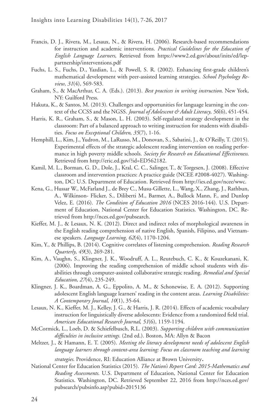- Francis, D. J., Rivera, M., Lesaux, N., & Rivera, H. (2006). Research-based recommendations for instruction and academic interventions. *Practical Guidelines for the Education of English Language Learners*, Retrieved from https://www2.ed.gov/about/inits/ed/leppartnership/interventions.pdf
- Fuchs, L. S., Fuchs, D., Yazdian, L., & Powell, S. R. (2002). Enhancing first-grade children's mathematical development with peer-assisted learning strategies. *School Psychology Review*, *31*(4), 569-583.
- Graham, S., & MacArthur, C. A. (Eds.). (2013). *Best practices in writing instruction*. New York, NY: Guilford Press.
- Hakuta, K., & Santos, M. (2013). Challenges and opportunities for language learning in the context of the CCSS and the NGSS. *Journal of Adolescent & Adult Literacy*, *56*(6), 451-454.
- Harris, K. R., Graham, S., & Mason, L. H. (2003). Self-regulated strategy development in the classroom: Part of a balanced approach to writing instruction for students with disabilities. *Focus on Exceptional Children*, *35*(7), 1-16.
- Hemphill, L., Kim, J., Yudron, M., LaRusso, M., Donovan, S., Sabatini, J., & O'Reilly, T. (2015). Experimental effects of the strategic adolescent reading intervention on reading performance in high poverty middle schools. *Society for Research on Educational Effectiveness*. Retrieved from http://eric.ed.gov/?id=ED562182.
- Kamil, M. L., Borman, G. D., Dole, J., Kral, C. C., Salinger, T., & Torgesen, J. (2008). Effective classroom and intervention practices: A practice guide (NCEE #2008-4027). Washington, DC: U.S. Department of Education. Retrieved from http://ies.ed.gov/ncee/wwc.
- Kena, G., Hussar W., McFarland J., de Brey C., Musu-Gillette, L., Wang, X., Zhang, J., Rathbun, A., Wilkinson- Flicker, S., Diliberti M., Barmer, A., Bullock Mann, F., and Dunlop Velez, E. (2016). *The Condition of Education 2016* (NCES 2016-144). U.S. Department of Education, National Center for Education Statistics. Washington, DC. Retrieved from http://nces.ed.gov/pubsearch.
- Kieffer, M. J., & Lesaux, N. K. (2012). Direct and indirect roles of morphological awareness in the English reading comprehension of native English, Spanish, Filipino, and Vietnamese speakers. *Language Learning*, *62*(4), 1170-1204.
- Kim, Y., & Phillips, B. (2014). Cognitive correlates of listening comprehension. *Reading Research Quarterly*, *49*(3), 269-281.
- Kim, A., Vaughn, S., Klingner, J. K., Woodruff, A. L., Reutebuch, C. K., & Kouzekanani, K. (2006). Improving the reading comprehension of middle school students with disabilities through computer-assisted collaborative strategic reading. *Remedial and Special Education*, *27*(4), 235-249.
- Klingner, J. K., Boardman, A. G., Eppolito, A. M., & Schonewise, E. A. (2012). Supporting adolescent English language learners' reading in the content areas. *Learning Disabilities: A Contemporary Journal*, *10*(1), 35-64.
- Lesaux, N. K., Kieffer, M. J., Kelley, J. G., & Harris, J. R. (2014). Effects of academic vocabulary instruction for linguistically diverse adolescents: Evidence from a randomized field trial. *American Educational Research Journal*, *51*(6), 1159-1194.
- McCormick, L., Loeb, D. & Schiefelbusch, R.L. (2003). *Supporting children with communication difficulties in inclusive settings.* (2nd ed.). Boston, MA: Allyn & Bacon
- Meltzer, J., & Hamann, E. T. (2005). *Meeting the literacy development needs of adolescent English language learners through content-area learning: Focus on classroom teaching and learning*

*strategies*. Providence, RI: Education Alliance at Brown University.

National Center for Education Statistics (2015). *The Nation's Report Card: 2015-Mathematics and Reading Assessments*. U.S. Department of Education, National Center for Education Statistics. Washington, DC. Retrieved September 22, 2016 from http://nces.ed.gov/ pubsearch/pubsinfo.asp?pubid=2015136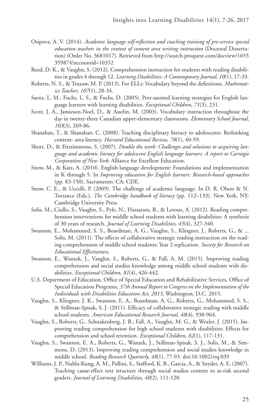- Osipova, A. V. (2014). *Academic language self-reflection and coaching training of pre-service special education teachers in the context of content area writing instruction* (Doctoral Dissertation) (Order No. 3681017). Retrieved from http://search.proquest.com/docview/1655 359874?accountid=10352
- Reed, D. K., & Vaughn, S. (2012). Comprehension instruction for students with reading disabilities in grades 4 through 12. *Learning Disabilities: A Contemporary Journal*, *10*(1), 17-33.
- Roberts, N. S., & Truxaw, M. P. (2013). For ELLs: Vocabulary beyond the definitions. *Mathematics Teacher*, *107*(1), 28-34.
- Saenz, L. M., Fuchs, L. S., & Fuchs, D. (2005). Peer-assisted learning strategies for English language learners with learning disabilities. *Exceptional Children*, *71*(3), 231.
- Scott, J. A., Jamieson-Noel, D., & Asselin, M. (2003). Vocabulary instruction throughout the day in twenty-three Canadian upper-elementary classrooms. *Elementary School Journal*, *103*(3), 269-86.
- Shanahan, T., & Shanahan, C. (2008). Teaching disciplinary literacy to adolescents: Rethinking content- area literacy. *Harvard Educational Review*, *78*(1), 40-59.
- Short, D., & Fitzsimmons, S. (2007). *Double the work: Challenges and solutions to acquiring language and academic literacy for adolescent English language learners: A report to Carnegie Corporation of New York*. Alliance for Excellent Education.
- Snow, M., & Katz, A. (2010). English language development: Foundations and implementation in K through 5. In *Improving education for English learners: Research-based approaches* (pp. 83-150). Sacramento, CA: CDE.
- Snow, C. E., & Uccelli, P. (2009). The challenge of academic language. In D. R. Olson & N. Torrance (Eds.), *The Cambridge handbook of literacy* (pp. 112–133). New York, NY: Cambridge University Press.
- Solis, M., Ciullo, S., Vaughn, S., Pyle, N., Hassaram, B., & Leroux, A. (2012). Reading comprehension interventions for middle school students with learning disabilities: A synthesis of 30 years of research. *Journal of Learning Disabilities*, *45*(4), 327-340.
- Swanson, E., Mohammed, S. S., Boardman, A. G., Vaughn, S., Klingner, J., Roberts, G., & ... Solis, M. (2011). The effects of collaborative strategic reading instruction on the reading comprehension of middle school students: Year 2 replication. *Society for Research on Educational Effectiveness*.
- Swanson, E., Wanzek, J., Vaughn, S., Roberts, G., & Fall, A. M. (2015). Improving reading comprehension and social studies knowledge among middle school students with disabilities. *Exceptional Children*, *81*(4), 426-442.
- U.S. Department of Education, Office of Special Education and Rehabilitative Services, Office of Special Education Programs, *37th Annual Report to Congress on the Implementation of the Individuals with Disabilities Education Act, 2015,* Washington, D.C. 2015.
- Vaughn, S., Klingner, J. K., Swanson, E. A., Boardman, A. G., Roberts, G., Mohammed, S. S., & Stillman-Spisak, S. J. (2011). Efficacy of collaborative strategic reading with middle school students. *American Educational Research Journal*, *48*(4), 938-964.
- Vaughn, S., Roberts, G., Schnakenberg, J. B., Fall, A., Vaughn, M. G., & Wexler, J. (2015). Improving reading comprehension for high school students with disabilities: Effects for comprehension and school retention. *Exceptional Children*, *82*(1), 117-131.
- Vaughn, S., Swanson, E. A., Roberts, G., Wanzek, J., Stillman-Spisak, S. J., Solis, M., & Simmons, D. (2013). Improving reading comprehension and social studies knowledge in middle school. *Reading Research Quarterly, 48*(1), 77-93. doi:10.1002/rrq.039
- Williams, J. P., Nubla-Kung, A. M., Pollini, S., Stafford, K. B., Garcia, A., & Snyder, A. E. (2007). Teaching cause-effect text structure through social studies content to at-risk second graders. *Journal of Learning Disabilities*, *40*(2), 111-120.